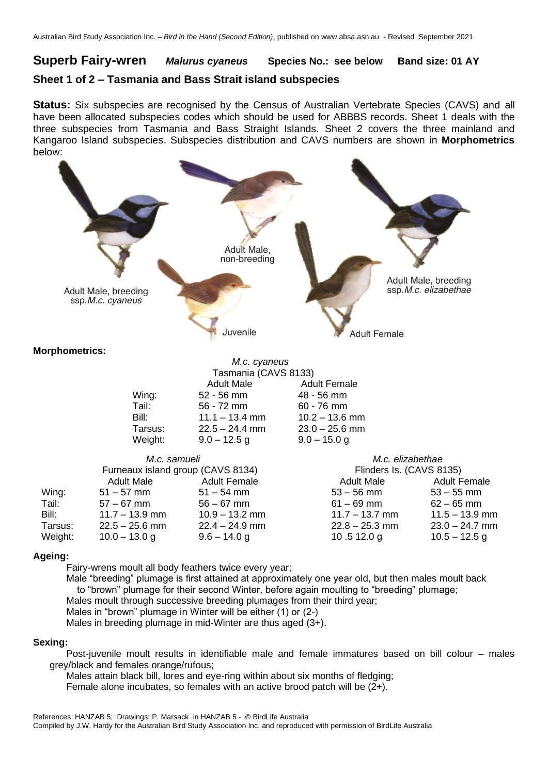**Superb Fairy-wren** *Malurus cyaneus* **Species No.: see below Band size: 01 AY**

## **Sheet 1 of 2 – Tasmania and Bass Strait island subspecies**

**Status:** Six subspecies are recognised by the Census of Australian Vertebrate Species (CAVS) and all have been allocated subspecies codes which should be used for ABBBS records. Sheet 1 deals with the three subspecies from Tasmania and Bass Straight Islands. Sheet 2 covers the three mainland and Kangaroo Island subspecies. Subspecies distribution and CAVS numbers are shown in **Morphometrics** below:



Fairy-wrens moult all body feathers twice every year;

Male "breeding" plumage is first attained at approximately one year old, but then males moult back to "brown" plumage for their second Winter, before again moulting to "breeding" plumage; Males moult through successive breeding plumages from their third year; Males in "brown" plumage in Winter will be either (1) or (2-) Males in breeding plumage in mid-Winter are thus aged (3+).

## **Sexing:**

Post-juvenile moult results in identifiable male and female immatures based on bill colour – males grey/black and females orange/rufous;

Males attain black bill, lores and eye-ring within about six months of fledging;

Female alone incubates, so females with an active brood patch will be (2+).